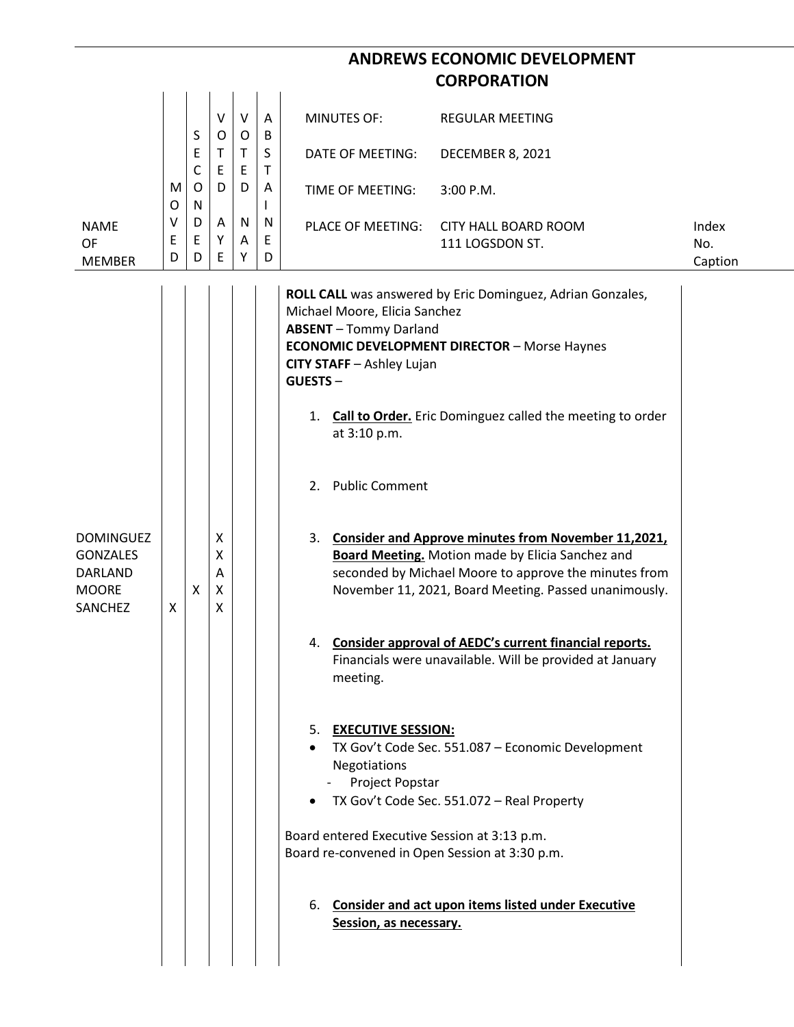|                                                                                  |             |                                       |                                 |                        |                            |                                                                                                                                                                                                                                                                                                                                                                    | <b>ANDREWS ECONOMIC DEVELOPMENT</b>                                                                                                                                                                                                                                                                                                                                                                                                                                                                                                                                                                                                                                                                            |                         |
|----------------------------------------------------------------------------------|-------------|---------------------------------------|---------------------------------|------------------------|----------------------------|--------------------------------------------------------------------------------------------------------------------------------------------------------------------------------------------------------------------------------------------------------------------------------------------------------------------------------------------------------------------|----------------------------------------------------------------------------------------------------------------------------------------------------------------------------------------------------------------------------------------------------------------------------------------------------------------------------------------------------------------------------------------------------------------------------------------------------------------------------------------------------------------------------------------------------------------------------------------------------------------------------------------------------------------------------------------------------------------|-------------------------|
|                                                                                  |             |                                       |                                 |                        |                            |                                                                                                                                                                                                                                                                                                                                                                    | <b>CORPORATION</b>                                                                                                                                                                                                                                                                                                                                                                                                                                                                                                                                                                                                                                                                                             |                         |
|                                                                                  |             | S                                     | $\vee$<br>$\circ$               | $\vee$<br>$\mathsf{O}$ | A<br>B                     | <b>MINUTES OF:</b>                                                                                                                                                                                                                                                                                                                                                 | <b>REGULAR MEETING</b>                                                                                                                                                                                                                                                                                                                                                                                                                                                                                                                                                                                                                                                                                         |                         |
|                                                                                  | M<br>O      | E<br>$\mathsf{C}$<br>$\mathsf O$<br>N | $\mathsf T$<br>$\mathsf E$<br>D | $\mathsf{T}$<br>E<br>D | S<br>$\mathsf T$<br>A<br>L | DATE OF MEETING:                                                                                                                                                                                                                                                                                                                                                   | DECEMBER 8, 2021                                                                                                                                                                                                                                                                                                                                                                                                                                                                                                                                                                                                                                                                                               |                         |
|                                                                                  |             |                                       |                                 |                        |                            | TIME OF MEETING:                                                                                                                                                                                                                                                                                                                                                   | 3:00 P.M.                                                                                                                                                                                                                                                                                                                                                                                                                                                                                                                                                                                                                                                                                                      |                         |
| <b>NAME</b><br>OF<br><b>MEMBER</b>                                               | ٧<br>E<br>D | D<br>E<br>D                           | A<br>Υ<br>E                     | N<br>Α<br>Υ            | N<br>E<br>D                | PLACE OF MEETING:                                                                                                                                                                                                                                                                                                                                                  | <b>CITY HALL BOARD ROOM</b><br>111 LOGSDON ST.                                                                                                                                                                                                                                                                                                                                                                                                                                                                                                                                                                                                                                                                 | Index<br>No.<br>Caption |
| <b>DOMINGUEZ</b><br><b>GONZALES</b><br>DARLAND<br><b>MOORE</b><br><b>SANCHEZ</b> | X           | X                                     | X<br>X<br>A<br>X<br>X           |                        |                            | Michael Moore, Elicia Sanchez<br><b>ABSENT</b> - Tommy Darland<br>CITY STAFF - Ashley Lujan<br><b>GUESTS-</b><br>at 3:10 p.m.<br>2. Public Comment<br>3.<br>meeting.<br>5. EXECUTIVE SESSION:<br>Negotiations<br>Project Popstar<br>Board entered Executive Session at 3:13 p.m.<br>Board re-convened in Open Session at 3:30 p.m.<br>6.<br>Session, as necessary. | ROLL CALL was answered by Eric Dominguez, Adrian Gonzales,<br><b>ECONOMIC DEVELOPMENT DIRECTOR - Morse Haynes</b><br>1. Call to Order. Eric Dominguez called the meeting to order<br><b>Consider and Approve minutes from November 11,2021,</b><br>Board Meeting. Motion made by Elicia Sanchez and<br>seconded by Michael Moore to approve the minutes from<br>November 11, 2021, Board Meeting. Passed unanimously.<br>4. Consider approval of AEDC's current financial reports.<br>Financials were unavailable. Will be provided at January<br>TX Gov't Code Sec. 551.087 - Economic Development<br>TX Gov't Code Sec. 551.072 - Real Property<br><b>Consider and act upon items listed under Executive</b> |                         |